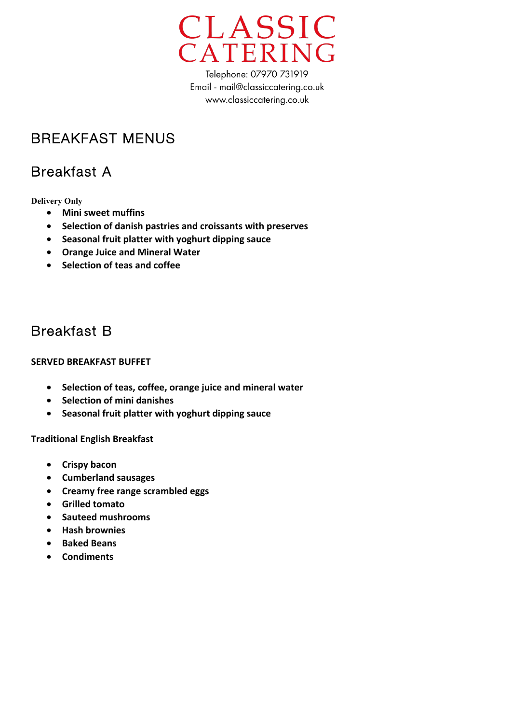

Telephone: 07970 731919 Email - mail@classiccatering.co.uk www.classiccatering.co.uk

### BREAKFAST MENUS

# Breakfast A

**Delivery Only**

- **•** Mini sweet muffins
- **•** Selection of danish pastries and croissants with preserves
- **•** Seasonal fruit platter with yoghurt dipping sauce
- **Orange Juice and Mineral Water**
- Selection of teas and coffee

### Breakfast B

#### **SERVED BREAKFAST BUFFET**

- Selection of teas, coffee, orange juice and mineral water
- **•** Selection of mini danishes
- **•** Seasonal fruit platter with yoghurt dipping sauce

**Traditional English Breakfast** 

- **•** Crispy bacon
- **Cumberland!sausages**
- **•** Creamy free range scrambled eggs
- **Grilled!tomato**
- **Sauteed!mushrooms**
- **Hash!brownies**
- **Baked!Beans**
- **Condiments**